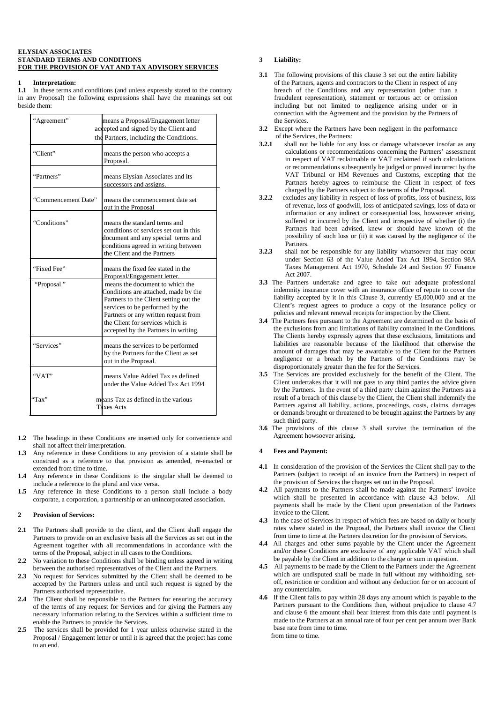### **ELYSIAN ASSOCIATES STANDARD TERMS AND CONDITIONS FOR THE PROVISION OF VAT AND TAX ADVISORY SERVICES**

### **1 Interpretation:**

**1.1** In these terms and conditions (and unless expressly stated to the contrary in any Proposal) the following expressions shall have the meanings set out beside them:

| "Agreement"         | means a Proposal/Engagement letter<br>accepted and signed by the Client and<br>the Partners, including the Conditions.                                                                                                                                                   |
|---------------------|--------------------------------------------------------------------------------------------------------------------------------------------------------------------------------------------------------------------------------------------------------------------------|
| "Client"            | means the person who accepts a<br>Proposal.                                                                                                                                                                                                                              |
| "Partners"          | means Elysian Associates and its<br>successors and assigns.                                                                                                                                                                                                              |
| "Commencement Date" | means the commencement date set<br>out in the Proposal                                                                                                                                                                                                                   |
| "Conditions"        | means the standard terms and<br>conditions of services set out in this<br>document and any special terms and<br>conditions agreed in writing between<br>the Client and the Partners                                                                                      |
| "Fixed Fee"         | means the fixed fee stated in the<br>Proposal/Engagement letter.                                                                                                                                                                                                         |
| "Proposal"          | means the document to which the<br>Conditions are attached, made by the<br>Partners to the Client setting out the<br>services to be performed by the<br>Partners or any written request from<br>the Client for services which is<br>accepted by the Partners in writing. |
| "Services"          | means the services to be performed<br>by the Partners for the Client as set<br>out in the Proposal.                                                                                                                                                                      |
| "VAT"               | means Value Added Tax as defined<br>under the Value Added Tax Act 1994                                                                                                                                                                                                   |
| "Tax"               | means Tax as defined in the various<br><b>Taxes Acts</b>                                                                                                                                                                                                                 |

- **1.2** The headings in these Conditions are inserted only for convenience and shall not affect their interpretation.
- **1.3** Any reference in these Conditions to any provision of a statute shall be construed as a reference to that provision as amended, re-enacted or extended from time to time.
- **1.4** Any reference in these Conditions to the singular shall be deemed to include a reference to the plural and vice versa.
- 1.5 Any reference in these Conditions to a person shall include a body corporate, a corporation, a partnership or an unincorporated association.

### **2 Provision of Services:**

- **2.1** The Partners shall provide to the client, and the Client shall engage the Partners to provide on an exclusive basis all the Services as set out in the Agreement together with all recommendations in accordance with the terms of the Proposal, subject in all cases to the Conditions.
- **2.2** No variation to these Conditions shall be binding unless agreed in writing between the authorised representatives of the Client and the Partners.
- **2.3** No request for Services submitted by the Client shall be deemed to be accepted by the Partners unless and until such request is signed by the Partners authorised representative.
- **2.4** The Client shall be responsible to the Partners for ensuring the accuracy of the terms of any request for Services and for giving the Partners any necessary information relating to the Services within a sufficient time to enable the Partners to provide the Services.
- **2.5** The services shall be provided for 1 year unless otherwise stated in the Proposal / Engagement letter or until it is agreed that the project has come to an end.

# **3 Liability:**

- **3.1** The following provisions of this clause 3 set out the entire liability of the Partners, agents and contractors to the Client in respect of any breach of the Conditions and any representation (other than a fraudulent representation), statement or tortuous act or omission including but not limited to negligence arising under or in connection with the Agreement and the provision by the Partners of the Services.
- **3.2** Except where the Partners have been negligent in the performance of the Services, the Partners:
- **3.2.1** shall not be liable for any loss or damage whatsoever insofar as any calculations or recommendations concerning the Partners' assessment in respect of VAT reclaimable or VAT reclaimed if such calculations or recommendations subsequently be judged or proved incorrect by the VAT Tribunal or HM Revenues and Customs, excepting that the Partners hereby agrees to reimburse the Client in respect of fees charged by the Partners subject to the terms of the Proposal.
- **3.2.2** excludes any liability in respect of loss of profits, loss of business, loss of revenue, loss of goodwill, loss of anticipated savings, loss of data or information or any indirect or consequential loss, howsoever arising, suffered or incurred by the Client and irrespective of whether (i) the Partners had been advised, knew or should have known of the possibility of such loss or (ii) it was caused by the negligence of the **Partners**
- **3.2.3** shall not be responsible for any liability whatsoever that may occur under Section 63 of the Value Added Tax Act 1994, Section 98A Taxes Management Act 1970, Schedule 24 and Section 97 Finance Act 2007.
- **3.3** The Partners undertake and agree to take out adequate professional indemnity insurance cover with an insurance office of repute to cover the liability accepted by it in this Clause 3, currently £5,000,000 and at the Client's request agrees to produce a copy of the insurance policy or policies and relevant renewal receipts for inspection by the Client.
- **3.4** The Partners fees pursuant to the Agreement are determined on the basis of the exclusions from and limitations of liability contained in the Conditions. The Clients hereby expressly agrees that these exclusions, limitations and liabilities are reasonable because of the likelihood that otherwise the amount of damages that may be awardable to the Client for the Partners negligence or a breach by the Partners of the Conditions may be disproportionately greater than the fee for the Services.
- **3.5** The Services are provided exclusively for the benefit of the Client. The Client undertakes that it will not pass to any third parties the advice given by the Partners. In the event of a third party claim against the Partners as a result of a breach of this clause by the Client, the Client shall indemnify the Partners against all liability, actions, proceedings, costs, claims, damages or demands brought or threatened to be brought against the Partners by any such third party.
- **3.6** The provisions of this clause 3 shall survive the termination of the Agreement howsoever arising.

## **4 Fees and Payment:**

- **4.1** In consideration of the provision of the Services the Client shall pay to the Partners (subject to receipt of an invoice from the Partners) in respect of the provision of Services the charges set out in the Proposal.
- **4.2** All payments to the Partners shall be made against the Partners' invoice which shall be presented in accordance with clause 4.3 below. All payments shall be made by the Client upon presentation of the Partners invoice to the Client.
- **4.3** In the case of Services in respect of which fees are based on daily or hourly rates where stated in the Proposal, the Partners shall invoice the Client from time to time at the Partners discretion for the provision of Services.
- **4.4** All charges and other sums payable by the Client under the Agreement and/or these Conditions are exclusive of any applicable VAT which shall be payable by the Client in addition to the charge or sum in question.
- **4.5** All payments to be made by the Client to the Partners under the Agreement which are undisputed shall be made in full without any withholding, setoff, restriction or condition and without any deduction for or on account of any counterclaim.
- **4.6** If the Client fails to pay within 28 days any amount which is payable to the Partners pursuant to the Conditions then, without prejudice to clause 4.7 and clause 6 the amount shall bear interest from this date until payment is made to the Partners at an annual rate of four per cent per annum over Bank base rate from time to time. from time to time.